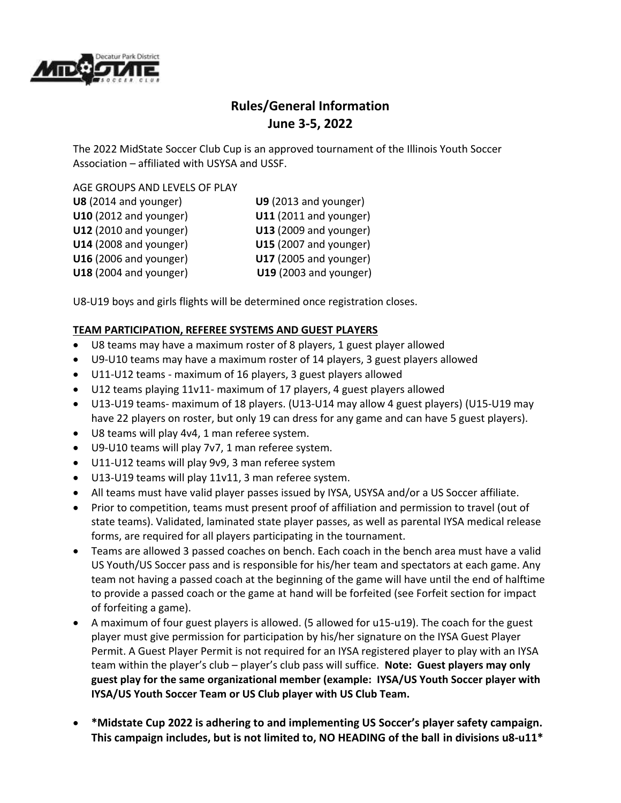

# **Rules/General Information June 3-5, 2022**

The 2022 MidState Soccer Club Cup is an approved tournament of the Illinois Youth Soccer Association – affiliated with USYSA and USSF.

#### AGE GROUPS AND LEVELS OF PLAY

| U9 (2013 and younger)         |
|-------------------------------|
| U11 (2011 and younger)        |
| <b>U13</b> (2009 and younger) |
| U15 (2007 and younger)        |
| <b>U17</b> (2005 and younger) |
| <b>U19</b> (2003 and younger) |
|                               |

U8-U19 boys and girls flights will be determined once registration closes.

## **TEAM PARTICIPATION, REFEREE SYSTEMS AND GUEST PLAYERS**

- U8 teams may have a maximum roster of 8 players, 1 guest player allowed
- U9-U10 teams may have a maximum roster of 14 players, 3 guest players allowed
- U11-U12 teams maximum of 16 players, 3 guest players allowed
- U12 teams playing 11v11- maximum of 17 players, 4 guest players allowed
- U13-U19 teams- maximum of 18 players. (U13-U14 may allow 4 guest players) (U15-U19 may have 22 players on roster, but only 19 can dress for any game and can have 5 guest players).
- U8 teams will play 4v4, 1 man referee system.
- U9-U10 teams will play 7v7, 1 man referee system.
- U11-U12 teams will play 9v9, 3 man referee system
- U13-U19 teams will play 11v11, 3 man referee system.
- All teams must have valid player passes issued by IYSA, USYSA and/or a US Soccer affiliate.
- Prior to competition, teams must present proof of affiliation and permission to travel (out of state teams). Validated, laminated state player passes, as well as parental IYSA medical release forms, are required for all players participating in the tournament.
- Teams are allowed 3 passed coaches on bench. Each coach in the bench area must have a valid US Youth/US Soccer pass and is responsible for his/her team and spectators at each game. Any team not having a passed coach at the beginning of the game will have until the end of halftime to provide a passed coach or the game at hand will be forfeited (see Forfeit section for impact of forfeiting a game).
- A maximum of four guest players is allowed. (5 allowed for u15-u19). The coach for the guest player must give permission for participation by his/her signature on the IYSA Guest Player Permit. A Guest Player Permit is not required for an IYSA registered player to play with an IYSA team within the player's club – player's club pass will suffice. **Note: Guest players may only guest play for the same organizational member (example: IYSA/US Youth Soccer player with IYSA/US Youth Soccer Team or US Club player with US Club Team.**
- **\*Midstate Cup 2022 is adhering to and implementing US Soccer's player safety campaign. This campaign includes, but is not limited to, NO HEADING of the ball in divisions u8-u11\***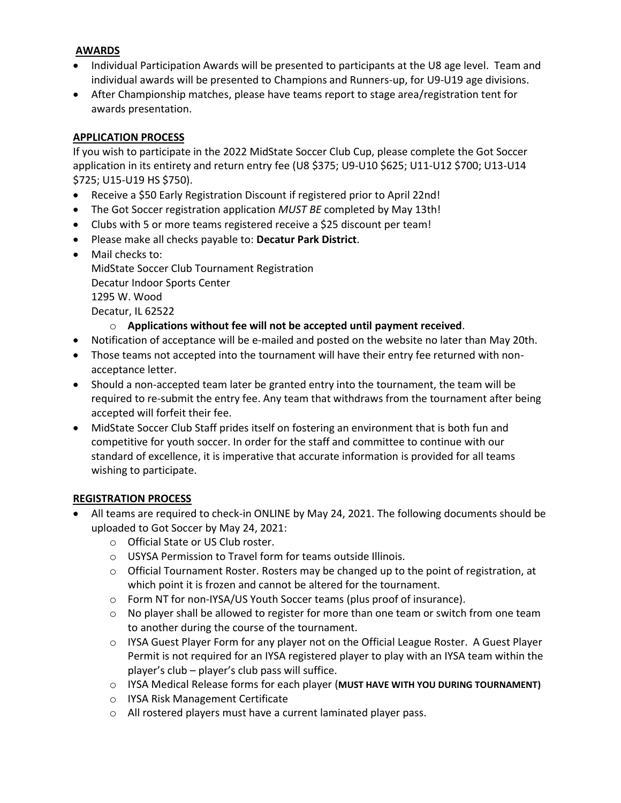#### **AWARDS**

- Individual Participation Awards will be presented to participants at the U8 age level. Team and individual awards will be presented to Champions and Runners-up, for U9-U19 age divisions.
- After Championship matches, please have teams report to stage area/registration tent for awards presentation.

#### **APPLICATION PROCESS**

If you wish to participate in the 2022 MidState Soccer Club Cup, please complete the Got Soccer application in its entirety and return entry fee (U8 \$375; U9-U10 \$625; U11-U12 \$700; U13-U14 \$725; U15-U19 HS \$750).

- Receive a \$50 Early Registration Discount if registered prior to April 22nd!
- The Got Soccer registration application *MUST BE* completed by May 13th!
- Clubs with 5 or more teams registered receive a \$25 discount per team!
- Please make all checks payable to: **Decatur Park District**.
- Mail checks to: MidState Soccer Club Tournament Registration Decatur Indoor Sports Center 1295 W. Wood Decatur, IL 62522
	- o **Applications without fee will not be accepted until payment received**.
- Notification of acceptance will be e-mailed and posted on the website no later than May 20th.
- Those teams not accepted into the tournament will have their entry fee returned with nonacceptance letter.
- Should a non-accepted team later be granted entry into the tournament, the team will be required to re-submit the entry fee. Any team that withdraws from the tournament after being accepted will forfeit their fee.
- MidState Soccer Club Staff prides itself on fostering an environment that is both fun and competitive for youth soccer. In order for the staff and committee to continue with our standard of excellence, it is imperative that accurate information is provided for all teams wishing to participate.

#### **REGISTRATION PROCESS**

- All teams are required to check-in ONLINE by May 24, 2021. The following documents should be uploaded to Got Soccer by May 24, 2021:
	- o Official State or US Club roster.
	- o USYSA Permission to Travel form for teams outside Illinois.
	- $\circ$  Official Tournament Roster. Rosters may be changed up to the point of registration, at which point it is frozen and cannot be altered for the tournament.
	- o Form NT for non-IYSA/US Youth Soccer teams (plus proof of insurance).
	- o No player shall be allowed to register for more than one team or switch from one team to another during the course of the tournament.
	- o IYSA Guest Player Form for any player not on the Official League Roster. A Guest Player Permit is not required for an IYSA registered player to play with an IYSA team within the player's club – player's club pass will suffice.
	- o IYSA Medical Release forms for each player (**MUST HAVE WITH YOU DURING TOURNAMENT)**
	- o IYSA Risk Management Certificate
	- o All rostered players must have a current laminated player pass.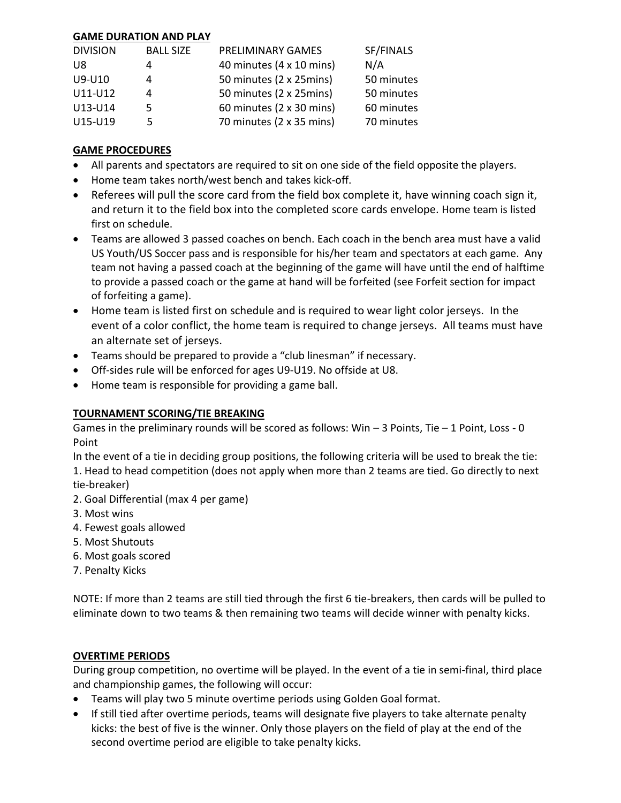### **GAME DURATION AND PLAY**

| <b>DIVISION</b> | <b>BALL SIZE</b> | PRELIMINARY GAMES        | SF/FINALS  |
|-----------------|------------------|--------------------------|------------|
| U8              | 4                | 40 minutes (4 x 10 mins) | N/A        |
| U9-U10          | 4                | 50 minutes (2 x 25mins)  | 50 minutes |
| U11-U12         | 4                | 50 minutes (2 x 25mins)  | 50 minutes |
| U13-U14         | 5                | 60 minutes (2 x 30 mins) | 60 minutes |
| U15-U19         | 5                | 70 minutes (2 x 35 mins) | 70 minutes |

#### **GAME PROCEDURES**

- All parents and spectators are required to sit on one side of the field opposite the players.
- Home team takes north/west bench and takes kick-off.
- Referees will pull the score card from the field box complete it, have winning coach sign it, and return it to the field box into the completed score cards envelope. Home team is listed first on schedule.
- Teams are allowed 3 passed coaches on bench. Each coach in the bench area must have a valid US Youth/US Soccer pass and is responsible for his/her team and spectators at each game. Any team not having a passed coach at the beginning of the game will have until the end of halftime to provide a passed coach or the game at hand will be forfeited (see Forfeit section for impact of forfeiting a game).
- Home team is listed first on schedule and is required to wear light color jerseys. In the event of a color conflict, the home team is required to change jerseys. All teams must have an alternate set of jerseys.
- Teams should be prepared to provide a "club linesman" if necessary.
- Off-sides rule will be enforced for ages U9-U19. No offside at U8.
- Home team is responsible for providing a game ball.

#### **TOURNAMENT SCORING/TIE BREAKING**

Games in the preliminary rounds will be scored as follows: Win  $-$  3 Points, Tie  $-$  1 Point, Loss  $-$  0 Point

In the event of a tie in deciding group positions, the following criteria will be used to break the tie: 1. Head to head competition (does not apply when more than 2 teams are tied. Go directly to next tie-breaker)

- 2. Goal Differential (max 4 per game)
- 3. Most wins
- 4. Fewest goals allowed
- 5. Most Shutouts
- 6. Most goals scored
- 7. Penalty Kicks

NOTE: If more than 2 teams are still tied through the first 6 tie-breakers, then cards will be pulled to eliminate down to two teams & then remaining two teams will decide winner with penalty kicks.

#### **OVERTIME PERIODS**

During group competition, no overtime will be played. In the event of a tie in semi-final, third place and championship games, the following will occur:

- Teams will play two 5 minute overtime periods using Golden Goal format.
- If still tied after overtime periods, teams will designate five players to take alternate penalty kicks: the best of five is the winner. Only those players on the field of play at the end of the second overtime period are eligible to take penalty kicks.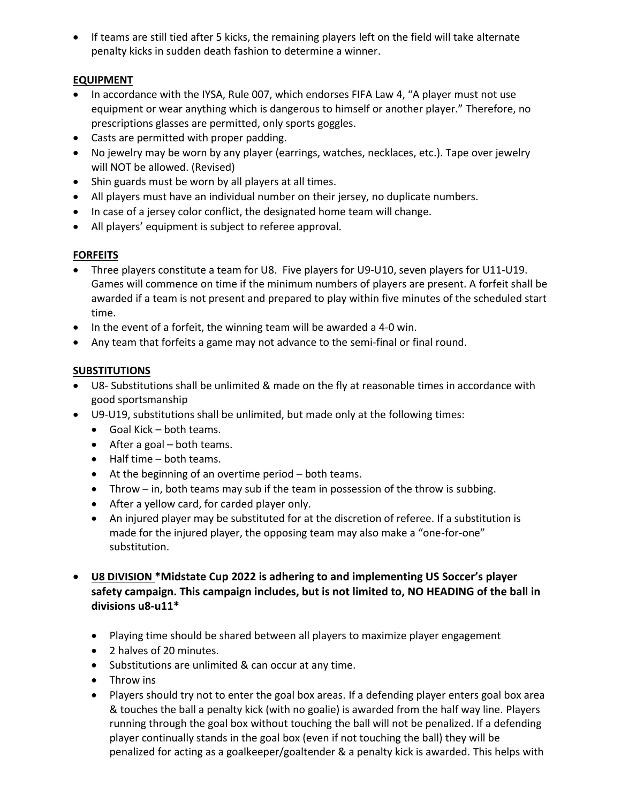• If teams are still tied after 5 kicks, the remaining players left on the field will take alternate penalty kicks in sudden death fashion to determine a winner.

## **EQUIPMENT**

- In accordance with the IYSA, Rule 007, which endorses FIFA Law 4, "A player must not use equipment or wear anything which is dangerous to himself or another player." Therefore, no prescriptions glasses are permitted, only sports goggles.
- Casts are permitted with proper padding.
- No jewelry may be worn by any player (earrings, watches, necklaces, etc.). Tape over jewelry will NOT be allowed. (Revised)
- Shin guards must be worn by all players at all times.
- All players must have an individual number on their jersey, no duplicate numbers.
- In case of a jersey color conflict, the designated home team will change.
- All players' equipment is subject to referee approval.

## **FORFEITS**

- Three players constitute a team for U8. Five players for U9-U10, seven players for U11-U19. Games will commence on time if the minimum numbers of players are present. A forfeit shall be awarded if a team is not present and prepared to play within five minutes of the scheduled start time.
- In the event of a forfeit, the winning team will be awarded a 4-0 win.
- Any team that forfeits a game may not advance to the semi-final or final round.

# **SUBSTITUTIONS**

- U8- Substitutions shall be unlimited & made on the fly at reasonable times in accordance with good sportsmanship
- U9-U19, substitutions shall be unlimited, but made only at the following times:
	- Goal Kick both teams.
	- After a goal both teams.
	- Half time both teams.
	- At the beginning of an overtime period both teams.
	- Throw in, both teams may sub if the team in possession of the throw is subbing.
	- After a yellow card, for carded player only.
	- An injured player may be substituted for at the discretion of referee. If a substitution is made for the injured player, the opposing team may also make a "one-for-one" substitution.
- **U8 DIVISION \*Midstate Cup 2022 is adhering to and implementing US Soccer's player safety campaign. This campaign includes, but is not limited to, NO HEADING of the ball in divisions u8-u11\***
	- Playing time should be shared between all players to maximize player engagement
	- 2 halves of 20 minutes.
	- Substitutions are unlimited & can occur at any time.
	- Throw ins
	- Players should try not to enter the goal box areas. If a defending player enters goal box area & touches the ball a penalty kick (with no goalie) is awarded from the half way line. Players running through the goal box without touching the ball will not be penalized. If a defending player continually stands in the goal box (even if not touching the ball) they will be penalized for acting as a goalkeeper/goaltender & a penalty kick is awarded. This helps with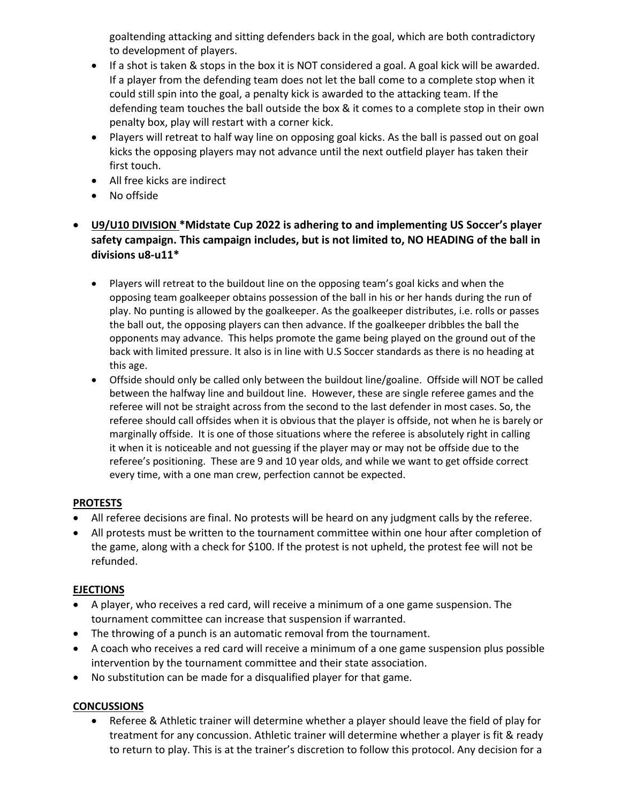goaltending attacking and sitting defenders back in the goal, which are both contradictory to development of players.

- If a shot is taken & stops in the box it is NOT considered a goal. A goal kick will be awarded. If a player from the defending team does not let the ball come to a complete stop when it could still spin into the goal, a penalty kick is awarded to the attacking team. If the defending team touches the ball outside the box & it comes to a complete stop in their own penalty box, play will restart with a corner kick.
- Players will retreat to half way line on opposing goal kicks. As the ball is passed out on goal kicks the opposing players may not advance until the next outfield player has taken their first touch.
- All free kicks are indirect
- No offside
- **U9/U10 DIVISION \*Midstate Cup 2022 is adhering to and implementing US Soccer's player safety campaign. This campaign includes, but is not limited to, NO HEADING of the ball in divisions u8-u11\***
	- Players will retreat to the buildout line on the opposing team's goal kicks and when the opposing team goalkeeper obtains possession of the ball in his or her hands during the run of play. No punting is allowed by the goalkeeper. As the goalkeeper distributes, i.e. rolls or passes the ball out, the opposing players can then advance. If the goalkeeper dribbles the ball the opponents may advance. This helps promote the game being played on the ground out of the back with limited pressure. It also is in line with U.S Soccer standards as there is no heading at this age.
	- Offside should only be called only between the buildout line/goaline. Offside will NOT be called between the halfway line and buildout line. However, these are single referee games and the referee will not be straight across from the second to the last defender in most cases. So, the referee should call offsides when it is obvious that the player is offside, not when he is barely or marginally offside. It is one of those situations where the referee is absolutely right in calling it when it is noticeable and not guessing if the player may or may not be offside due to the referee's positioning. These are 9 and 10 year olds, and while we want to get offside correct every time, with a one man crew, perfection cannot be expected.

#### **PROTESTS**

- All referee decisions are final. No protests will be heard on any judgment calls by the referee.
- All protests must be written to the tournament committee within one hour after completion of the game, along with a check for \$100. If the protest is not upheld, the protest fee will not be refunded.

#### **EJECTIONS**

- A player, who receives a red card, will receive a minimum of a one game suspension. The tournament committee can increase that suspension if warranted.
- The throwing of a punch is an automatic removal from the tournament.
- A coach who receives a red card will receive a minimum of a one game suspension plus possible intervention by the tournament committee and their state association.
- No substitution can be made for a disqualified player for that game.

#### **CONCUSSIONS**

• Referee & Athletic trainer will determine whether a player should leave the field of play for treatment for any concussion. Athletic trainer will determine whether a player is fit & ready to return to play. This is at the trainer's discretion to follow this protocol. Any decision for a